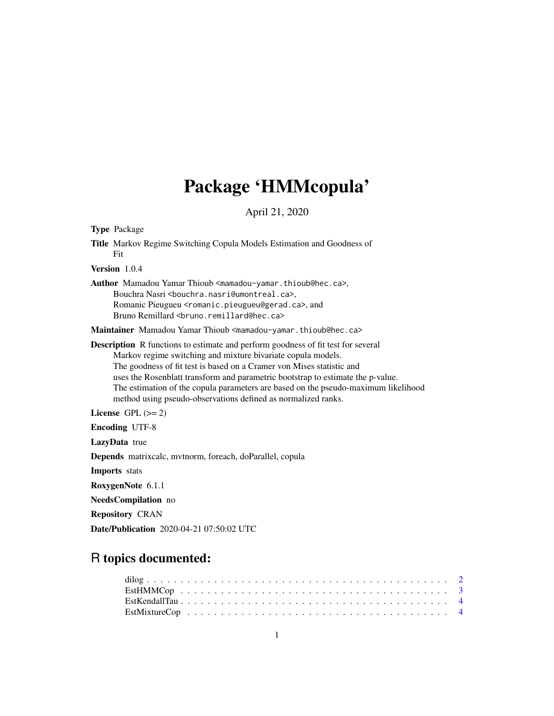# Package 'HMMcopula'

April 21, 2020

Type Package Title Markov Regime Switching Copula Models Estimation and Goodness of Fit Version 1.0.4 Author Mamadou Yamar Thioub <mamadou-yamar.thioub@hec.ca>, Bouchra Nasri <br/>bouchra.nasri@umontreal.ca>, Romanic Pieugueu <romanic.pieugueu@gerad.ca>, and Bruno Remillard <br />bruno.remillard@hec.ca> Maintainer Mamadou Yamar Thioub <mamadou-yamar.thioub@hec.ca> Description R functions to estimate and perform goodness of fit test for several Markov regime switching and mixture bivariate copula models. The goodness of fit test is based on a Cramer von Mises statistic and uses the Rosenblatt transform and parametric bootstrap to estimate the p-value. The estimation of the copula parameters are based on the pseudo-maximum likelihood method using pseudo-observations defined as normalized ranks. License GPL  $(>= 2)$ Encoding UTF-8 LazyData true Depends matrixcalc, mvtnorm, foreach, doParallel, copula Imports stats RoxygenNote 6.1.1 NeedsCompilation no Repository CRAN Date/Publication 2020-04-21 07:50:02 UTC

# R topics documented: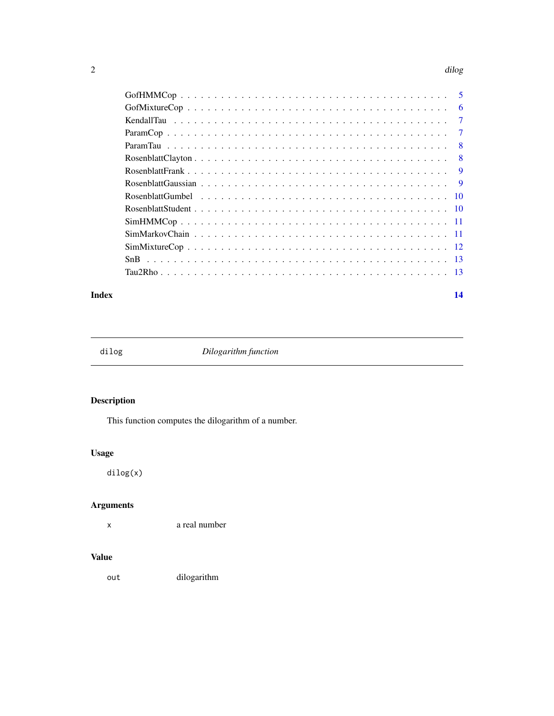#### <span id="page-1-0"></span> $2 \,$  dilog  $\,$

|     | -6 |
|-----|----|
|     |    |
|     |    |
| - 8 |    |
|     |    |
|     |    |
|     |    |
|     |    |
|     |    |
|     |    |
|     |    |
|     |    |
|     |    |
|     |    |
|     |    |

#### **Index** 2008 **[14](#page-13-0)**

dilog *Dilogarithm function*

# Description

This function computes the dilogarithm of a number.

# Usage

dilog(x)

# Arguments

x a real number

# Value

out dilogarithm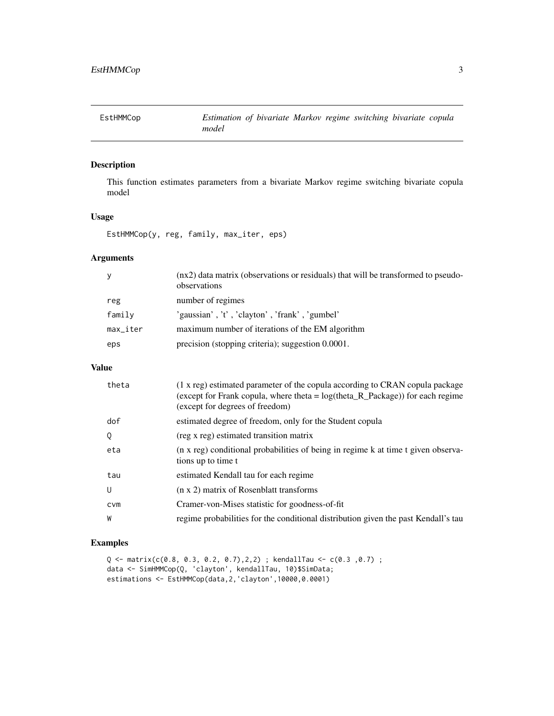<span id="page-2-0"></span>

This function estimates parameters from a bivariate Markov regime switching bivariate copula model

# Usage

EstHMMCop(y, reg, family, max\_iter, eps)

# Arguments

| y                         | (nx2) data matrix (observations or residuals) that will be transformed to pseudo-<br>observations |
|---------------------------|---------------------------------------------------------------------------------------------------|
| reg                       | number of regimes                                                                                 |
| family                    | 'gaussian', 't', 'clayton', 'frank', 'gumbel'                                                     |
| $max$ <sub>-</sub> $iter$ | maximum number of iterations of the EM algorithm                                                  |
| eps                       | precision (stopping criteria); suggestion 0.0001.                                                 |

# Value

| theta      | (1 x reg) estimated parameter of the copula according to CRAN copula package<br>(except for Frank copula, where theta = $log(theta_R_R)$ Package) for each regime<br>(except for degrees of freedom) |
|------------|------------------------------------------------------------------------------------------------------------------------------------------------------------------------------------------------------|
| dof        | estimated degree of freedom, only for the Student copula                                                                                                                                             |
| Q          | (reg x reg) estimated transition matrix                                                                                                                                                              |
| eta        | (n x reg) conditional probabilities of being in regime k at time t given observa-<br>tions up to time t                                                                                              |
| tau        | estimated Kendall tau for each regime                                                                                                                                                                |
| U          | (n x 2) matrix of Rosenblatt transforms                                                                                                                                                              |
| <b>CVM</b> | Cramer-von-Mises statistic for goodness-of-fit                                                                                                                                                       |
| W          | regime probabilities for the conditional distribution given the past Kendall's tau                                                                                                                   |

# Examples

```
Q <- matrix(c(0.8, 0.3, 0.2, 0.7),2,2) ; kendallTau <- c(0.3 ,0.7) ;
data <- SimHMMCop(Q, 'clayton', kendallTau, 10)$SimData;
estimations <- EstHMMCop(data,2,'clayton',10000,0.0001)
```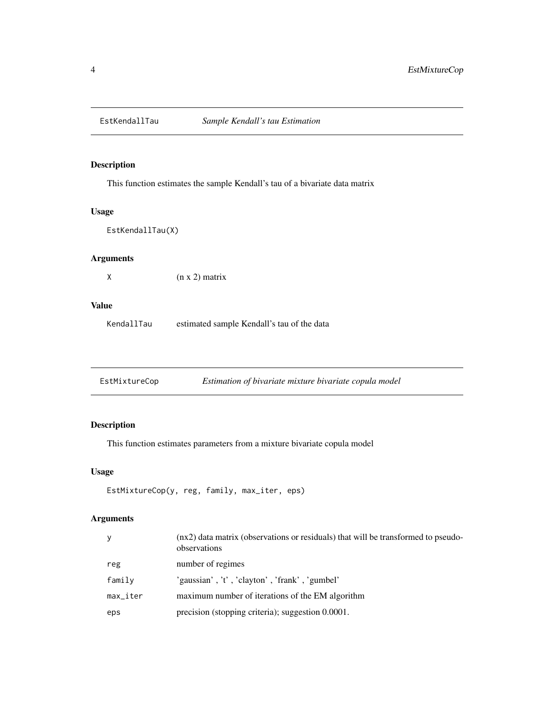<span id="page-3-0"></span>

This function estimates the sample Kendall's tau of a bivariate data matrix

## Usage

EstKendallTau(X)

# Arguments

 $(x \times 2)$  matrix

#### Value

KendallTau estimated sample Kendall's tau of the data

| EstMixtureCop | Estimation of bivariate mixture bivariate copula model |  |
|---------------|--------------------------------------------------------|--|
|---------------|--------------------------------------------------------|--|

# Description

This function estimates parameters from a mixture bivariate copula model

#### Usage

```
EstMixtureCop(y, reg, family, max_iter, eps)
```
# Arguments

| У                      | (nx2) data matrix (observations or residuals) that will be transformed to pseudo-<br>observations |
|------------------------|---------------------------------------------------------------------------------------------------|
| reg                    | number of regimes                                                                                 |
| family                 | 'gaussian', 't', 'clayton', 'frank', 'gumbel'                                                     |
| $max$ <sub>Liter</sub> | maximum number of iterations of the EM algorithm                                                  |
| eps                    | precision (stopping criteria); suggestion 0.0001.                                                 |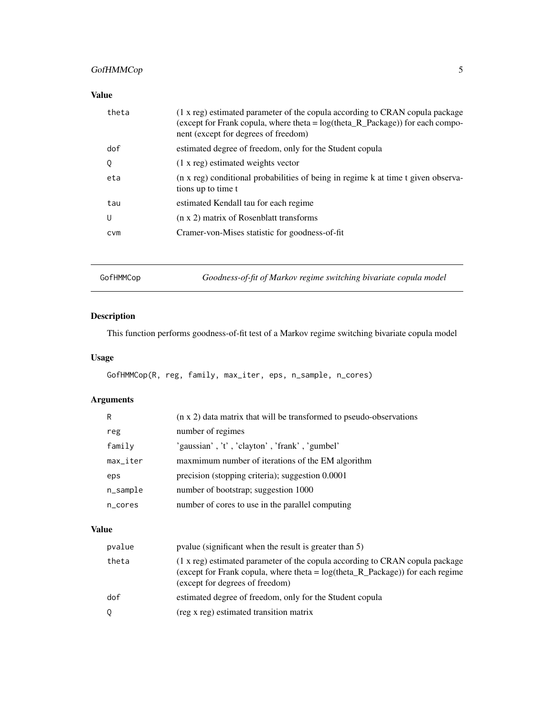# <span id="page-4-0"></span>GofHMMCop 5

## Value

| (except for Frank copula, where theta = $log(theta_R_Package)$ ) for each compo-<br>nent (except for degrees of freedom) |  |
|--------------------------------------------------------------------------------------------------------------------------|--|
| estimated degree of freedom, only for the Student copula<br>dof                                                          |  |
| $(1 x \text{ reg})$ estimated weights vector<br>Q                                                                        |  |
| (n x reg) conditional probabilities of being in regime k at time t given observa-<br>eta<br>tions up to time t           |  |
| estimated Kendall tau for each regime<br>tau                                                                             |  |
| (n x 2) matrix of Rosenblatt transforms<br>U                                                                             |  |
| Cramer-von-Mises statistic for goodness-of-fit<br>CVM                                                                    |  |

GofHMMCop *Goodness-of-fit of Markov regime switching bivariate copula model*

# Description

This function performs goodness-of-fit test of a Markov regime switching bivariate copula model

# Usage

```
GofHMMCop(R, reg, family, max_iter, eps, n_sample, n_cores)
```
# Arguments

| R        | (n x 2) data matrix that will be transformed to pseudo-observations |
|----------|---------------------------------------------------------------------|
| reg      | number of regimes                                                   |
| family   | 'gaussian', 't', 'clayton', 'frank', 'gumbel'                       |
| max_iter | maxmimum number of iterations of the EM algorithm                   |
| eps      | precision (stopping criteria); suggestion 0.0001                    |
| n_sample | number of bootstrap; suggestion 1000                                |
| n_cores  | number of cores to use in the parallel computing                    |

# Value

| pvalue | pvalue (significant when the result is greater than 5)                                                                                                                                               |
|--------|------------------------------------------------------------------------------------------------------------------------------------------------------------------------------------------------------|
| theta  | (1 x reg) estimated parameter of the copula according to CRAN copula package<br>(except for Frank copula, where theta = $log(theta_R_R)$ Package) for each regime<br>(except for degrees of freedom) |
| dof    | estimated degree of freedom, only for the Student copula                                                                                                                                             |
| 0      | (reg x reg) estimated transition matrix                                                                                                                                                              |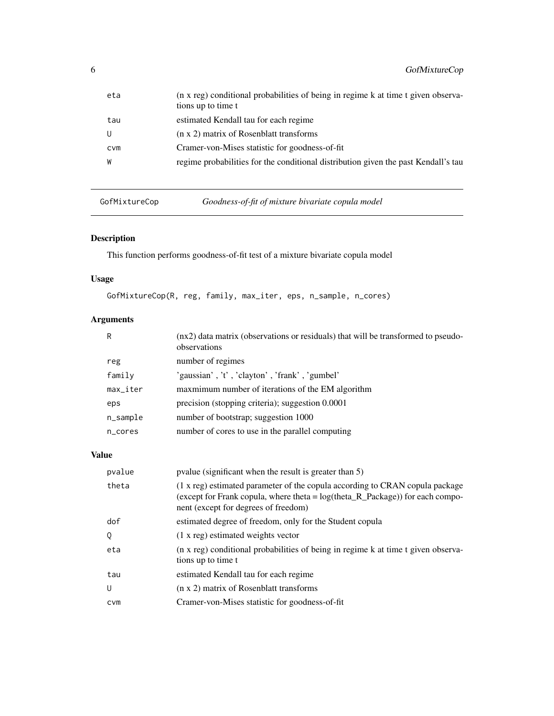<span id="page-5-0"></span>

| eta        | (n x reg) conditional probabilities of being in regime k at time t given observa-<br>tions up to time t |
|------------|---------------------------------------------------------------------------------------------------------|
| tau        | estimated Kendall tau for each regime                                                                   |
|            | $(n \times 2)$ matrix of Rosenblatt transforms                                                          |
| <b>CVM</b> | Cramer-von-Mises statistic for goodness-of-fit                                                          |
| W          | regime probabilities for the conditional distribution given the past Kendall's tau                      |

GofMixtureCop *Goodness-of-fit of mixture bivariate copula model*

# Description

This function performs goodness-of-fit test of a mixture bivariate copula model

# Usage

GofMixtureCop(R, reg, family, max\_iter, eps, n\_sample, n\_cores)

# Arguments

| R                      | (nx2) data matrix (observations or residuals) that will be transformed to pseudo-<br>observations |
|------------------------|---------------------------------------------------------------------------------------------------|
| reg                    | number of regimes                                                                                 |
| family                 | 'gaussian', 't', 'clayton', 'frank', 'gumbel'                                                     |
| $max$ <sub>_iter</sub> | maxmimum number of iterations of the EM algorithm                                                 |
| eps                    | precision (stopping criteria); suggestion 0.0001                                                  |
| $n$ _sample            | number of bootstrap; suggestion 1000                                                              |
| n_cores                | number of cores to use in the parallel computing                                                  |

# Value

| pvalue     | pvalue (significant when the result is greater than 5)                                                                                                                                                   |
|------------|----------------------------------------------------------------------------------------------------------------------------------------------------------------------------------------------------------|
| theta      | (1 x reg) estimated parameter of the copula according to CRAN copula package<br>(except for Frank copula, where theta = $log(theta_R_Package)$ ) for each compo-<br>nent (except for degrees of freedom) |
| dof        | estimated degree of freedom, only for the Student copula                                                                                                                                                 |
| Q          | $(1 x \text{ reg})$ estimated weights vector                                                                                                                                                             |
| eta        | (n x reg) conditional probabilities of being in regime k at time t given observa-<br>tions up to time t                                                                                                  |
| tau        | estimated Kendall tau for each regime                                                                                                                                                                    |
| $\cup$     | (n x 2) matrix of Rosenblatt transforms                                                                                                                                                                  |
| <b>CVM</b> | Cramer-von-Mises statistic for goodness-of-fit                                                                                                                                                           |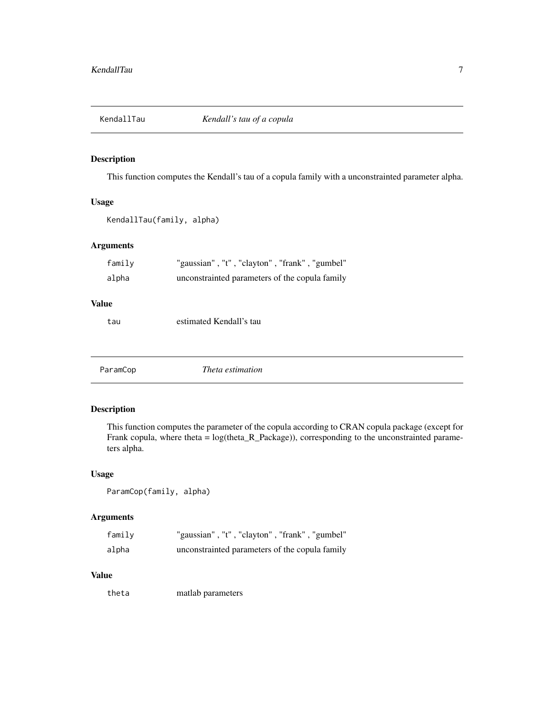<span id="page-6-0"></span>

This function computes the Kendall's tau of a copula family with a unconstrainted parameter alpha.

#### Usage

```
KendallTau(family, alpha)
```
# Arguments

| family | "gaussian", "t", "clayton", "frank", "gumbel"  |
|--------|------------------------------------------------|
| alpha  | unconstrainted parameters of the copula family |

#### Value

tau estimated Kendall's tau

ParamCop *Theta estimation*

# Description

This function computes the parameter of the copula according to CRAN copula package (except for Frank copula, where theta = log(theta\_R\_Package)), corresponding to the unconstrainted parameters alpha.

### Usage

```
ParamCop(family, alpha)
```
## Arguments

| family | "gaussian", "t", "clayton", "frank", "gumbel"  |
|--------|------------------------------------------------|
| alpha  | unconstrainted parameters of the copula family |

#### Value

theta matlab parameters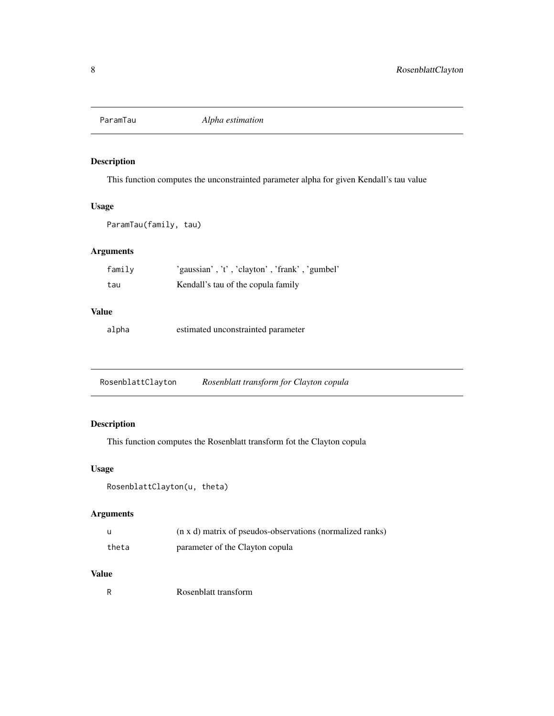<span id="page-7-0"></span>

This function computes the unconstrainted parameter alpha for given Kendall's tau value

### Usage

ParamTau(family, tau)

# Arguments

| family | 'gaussian', 't', 'clayton', 'frank', 'gumbel' |
|--------|-----------------------------------------------|
| tau    | Kendall's tau of the copula family            |

# Value

alpha estimated unconstrainted parameter

RosenblattClayton *Rosenblatt transform for Clayton copula*

# Description

This function computes the Rosenblatt transform fot the Clayton copula

#### Usage

```
RosenblattClayton(u, theta)
```
# Arguments

|       | (n x d) matrix of pseudos-observations (normalized ranks) |
|-------|-----------------------------------------------------------|
| theta | parameter of the Clayton copula                           |

# Value

R Rosenblatt transform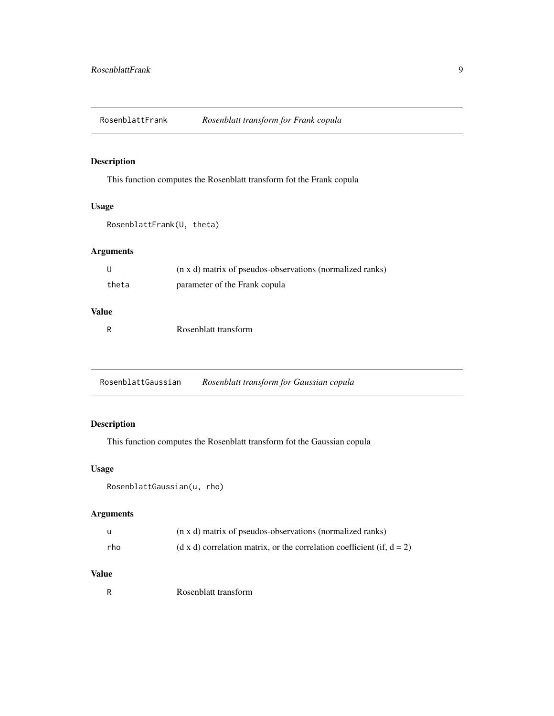<span id="page-8-0"></span>RosenblattFrank *Rosenblatt transform for Frank copula*

# Description

This function computes the Rosenblatt transform fot the Frank copula

# Usage

RosenblattFrank(U, theta)

# Arguments

| U     | (n x d) matrix of pseudos-observations (normalized ranks) |
|-------|-----------------------------------------------------------|
| theta | parameter of the Frank copula                             |

# Value

R Rosenblatt transform

RosenblattGaussian *Rosenblatt transform for Gaussian copula*

# Description

This function computes the Rosenblatt transform fot the Gaussian copula

#### Usage

```
RosenblattGaussian(u, rho)
```
# Arguments

| u   | (n x d) matrix of pseudos-observations (normalized ranks)                 |
|-----|---------------------------------------------------------------------------|
| rho | (d x d) correlation matrix, or the correlation coefficient (if, $d = 2$ ) |

# Value

R Rosenblatt transform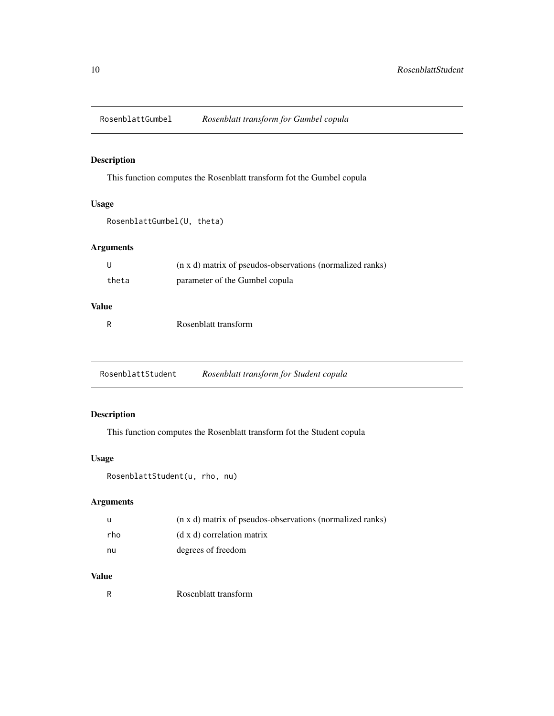<span id="page-9-0"></span>RosenblattGumbel *Rosenblatt transform for Gumbel copula*

# Description

This function computes the Rosenblatt transform fot the Gumbel copula

# Usage

```
RosenblattGumbel(U, theta)
```
# Arguments

| - U   | (n x d) matrix of pseudos-observations (normalized ranks) |
|-------|-----------------------------------------------------------|
| theta | parameter of the Gumbel copula                            |
|       |                                                           |

# Value

| Rosenblatt transform |  |
|----------------------|--|
|                      |  |

RosenblattStudent *Rosenblatt transform for Student copula*

# Description

This function computes the Rosenblatt transform fot the Student copula

## Usage

```
RosenblattStudent(u, rho, nu)
```
# Arguments

| - u | (n x d) matrix of pseudos-observations (normalized ranks) |
|-----|-----------------------------------------------------------|
| rho | (d x d) correlation matrix                                |
| nu  | degrees of freedom                                        |

## Value

R Rosenblatt transform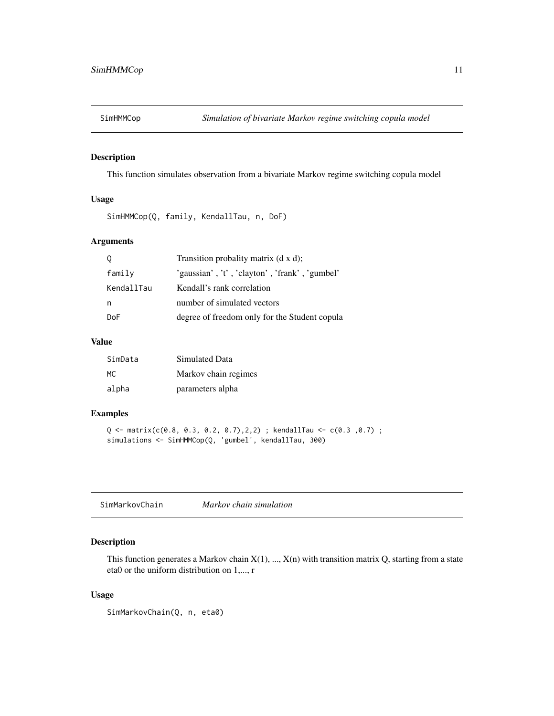<span id="page-10-0"></span>

This function simulates observation from a bivariate Markov regime switching copula model

# Usage

SimHMMCop(Q, family, KendallTau, n, DoF)

## Arguments

| 0          | Transition probality matrix $(d \times d)$ ;  |
|------------|-----------------------------------------------|
| family     | 'gaussian', 't', 'clayton', 'frank', 'gumbel' |
| KendallTau | Kendall's rank correlation                    |
| n          | number of simulated vectors                   |
| DoF        | degree of freedom only for the Student copula |

#### Value

| SimData | Simulated Data       |
|---------|----------------------|
| MC.     | Markov chain regimes |
| alpha   | parameters alpha     |

#### Examples

```
Q <- matrix(c(0.8, 0.3, 0.2, 0.7),2,2) ; kendallTau <- c(0.3 ,0.7) ;
simulations <- SimHMMCop(Q, 'gumbel', kendallTau, 300)
```
#### Description

This function generates a Markov chain  $X(1), ..., X(n)$  with transition matrix Q, starting from a state eta0 or the uniform distribution on 1,..., r

#### Usage

SimMarkovChain(Q, n, eta0)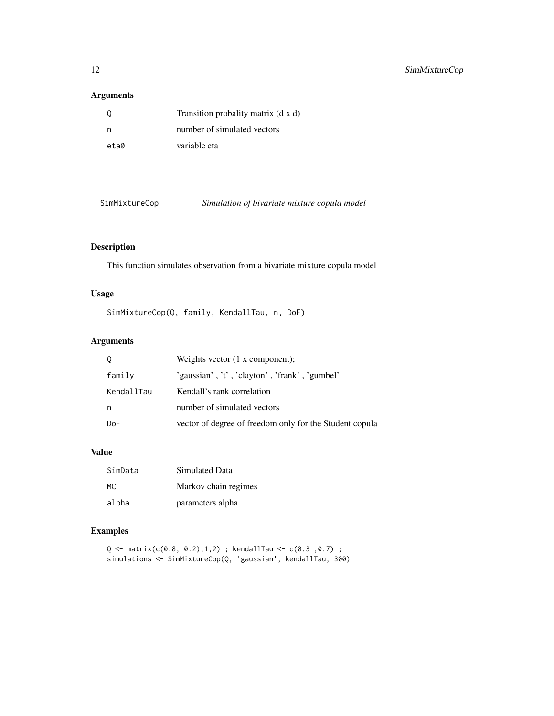# <span id="page-11-0"></span>Arguments

| 0    | Transition probality matrix (d x d) |
|------|-------------------------------------|
| n    | number of simulated vectors         |
| eta0 | variable eta                        |

| SimMixtureCop |  |
|---------------|--|

eCop **Simulation of bivariate mixture copula model** 

# Description

This function simulates observation from a bivariate mixture copula model

# Usage

```
SimMixtureCop(Q, family, KendallTau, n, DoF)
```
# Arguments

| 0          | Weights vector $(1 \times$ component);                  |
|------------|---------------------------------------------------------|
| family     | 'gaussian', 't', 'clayton', 'frank', 'gumbel'           |
| KendallTau | Kendall's rank correlation                              |
| n          | number of simulated vectors                             |
| DoF        | vector of degree of freedom only for the Student copula |

#### Value

| SimData | Simulated Data       |
|---------|----------------------|
| MC.     | Markov chain regimes |
| alpha   | parameters alpha     |

## Examples

```
Q <- matrix(c(0.8, 0.2),1,2) ; kendallTau <- c(0.3 ,0.7) ;
simulations <- SimMixtureCop(Q, 'gaussian', kendallTau, 300)
```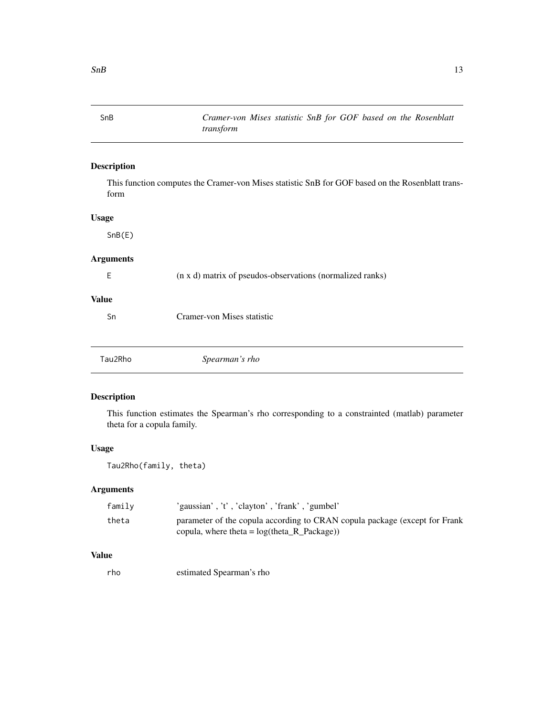<span id="page-12-0"></span>SnB *Cramer-von Mises statistic SnB for GOF based on the Rosenblatt transform*

## Description

This function computes the Cramer-von Mises statistic SnB for GOF based on the Rosenblatt transform

## Usage

SnB(E)

#### Arguments

E (n x d) matrix of pseudos-observations (normalized ranks)

# Value

Sn Cramer-von Mises statistic

| Spearman's rho<br>Tau2Rho |
|---------------------------|
|---------------------------|

## Description

This function estimates the Spearman's rho corresponding to a constrainted (matlab) parameter theta for a copula family.

#### Usage

Tau2Rho(family, theta)

#### Arguments

| family | 'gaussian', 't', 'clayton', 'frank', 'gumbel'                                                                                  |
|--------|--------------------------------------------------------------------------------------------------------------------------------|
| theta  | parameter of the copula according to CRAN copula package (except for Frank<br>copula, where theta = $log(theta_R_R$ -Package)) |

#### Value

rho estimated Spearman's rho